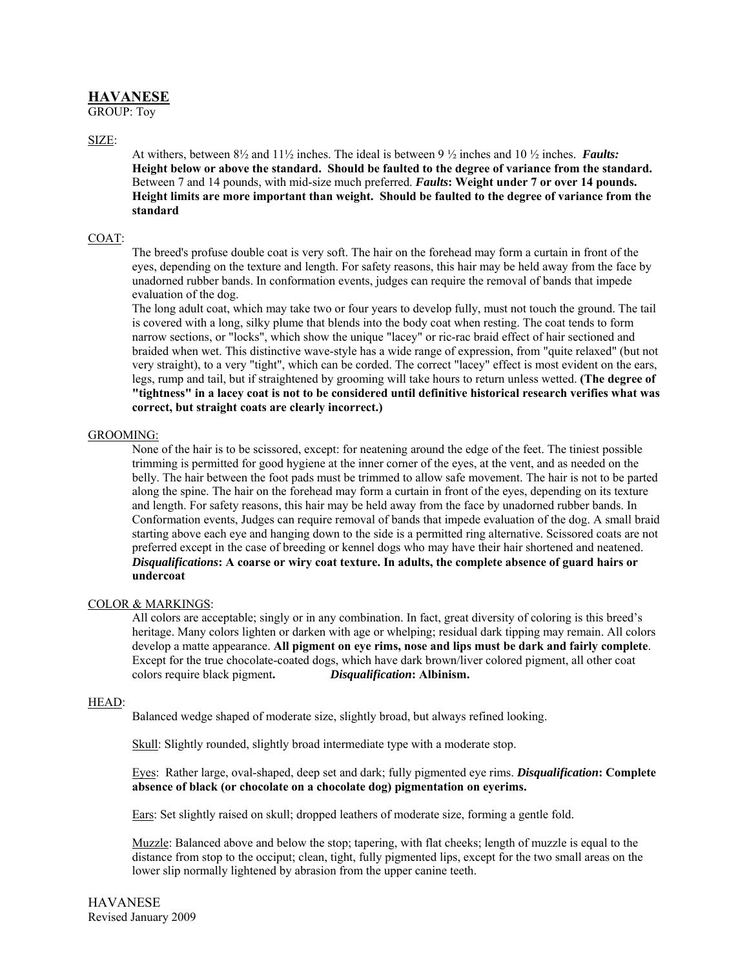# **HAVANESE**

GROUP: Toy

SIZE:

At withers, between 8½ and 11½ inches. The ideal is between 9 ½ inches and 10 ½ inches. *Faults:*  **Height below or above the standard. Should be faulted to the degree of variance from the standard.** Between 7 and 14 pounds, with mid-size much preferred. *Faults***: Weight under 7 or over 14 pounds. Height limits are more important than weight. Should be faulted to the degree of variance from the standard**

# COAT:

The breed's profuse double coat is very soft. The hair on the forehead may form a curtain in front of the eyes, depending on the texture and length. For safety reasons, this hair may be held away from the face by unadorned rubber bands. In conformation events, judges can require the removal of bands that impede evaluation of the dog.

The long adult coat, which may take two or four years to develop fully, must not touch the ground. The tail is covered with a long, silky plume that blends into the body coat when resting. The coat tends to form narrow sections, or "locks", which show the unique "lacey" or ric-rac braid effect of hair sectioned and braided when wet. This distinctive wave-style has a wide range of expression, from "quite relaxed" (but not very straight), to a very "tight", which can be corded. The correct "lacey" effect is most evident on the ears, legs, rump and tail, but if straightened by grooming will take hours to return unless wetted. **(The degree of "tightness" in a lacey coat is not to be considered until definitive historical research verifies what was correct, but straight coats are clearly incorrect.)** 

### GROOMING:

None of the hair is to be scissored, except: for neatening around the edge of the feet. The tiniest possible trimming is permitted for good hygiene at the inner corner of the eyes, at the vent, and as needed on the belly. The hair between the foot pads must be trimmed to allow safe movement. The hair is not to be parted along the spine. The hair on the forehead may form a curtain in front of the eyes, depending on its texture and length. For safety reasons, this hair may be held away from the face by unadorned rubber bands. In Conformation events, Judges can require removal of bands that impede evaluation of the dog. A small braid starting above each eye and hanging down to the side is a permitted ring alternative. Scissored coats are not preferred except in the case of breeding or kennel dogs who may have their hair shortened and neatened. *Disqualifications***: A coarse or wiry coat texture. In adults, the complete absence of guard hairs or undercoat** 

### COLOR & MARKINGS:

All colors are acceptable; singly or in any combination. In fact, great diversity of coloring is this breed's heritage. Many colors lighten or darken with age or whelping; residual dark tipping may remain. All colors develop a matte appearance. **All pigment on eye rims, nose and lips must be dark and fairly complete**. Except for the true chocolate-coated dogs, which have dark brown/liver colored pigment, all other coat colors require black pigment**.** *Disqualification***: Albinism.** 

### HEAD:

Balanced wedge shaped of moderate size, slightly broad, but always refined looking.

Skull: Slightly rounded, slightly broad intermediate type with a moderate stop.

Eyes: Rather large, oval-shaped, deep set and dark; fully pigmented eye rims. *Disqualification***: Complete absence of black (or chocolate on a chocolate dog) pigmentation on eyerims.** 

Ears: Set slightly raised on skull; dropped leathers of moderate size, forming a gentle fold.

Muzzle: Balanced above and below the stop; tapering, with flat cheeks; length of muzzle is equal to the distance from stop to the occiput; clean, tight, fully pigmented lips, except for the two small areas on the lower slip normally lightened by abrasion from the upper canine teeth.